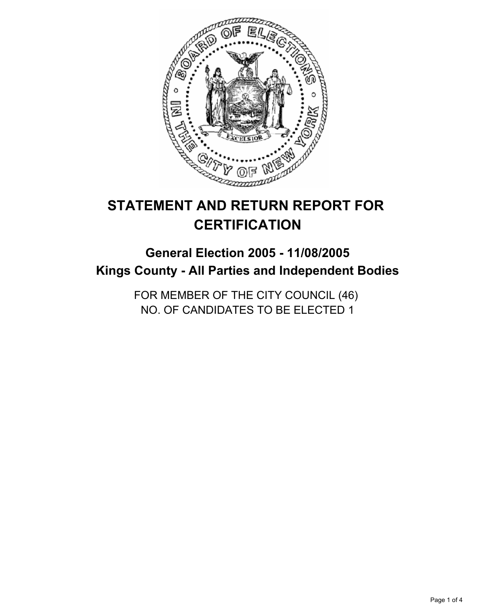

# **STATEMENT AND RETURN REPORT FOR CERTIFICATION**

## **General Election 2005 - 11/08/2005 Kings County - All Parties and Independent Bodies**

FOR MEMBER OF THE CITY COUNCIL (46) NO. OF CANDIDATES TO BE ELECTED 1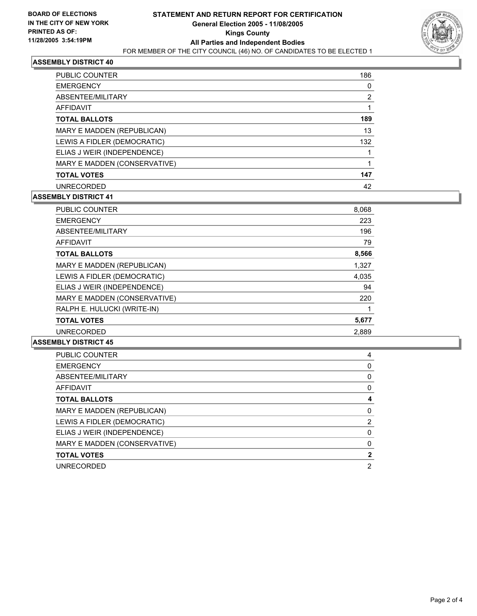

#### **ASSEMBLY DISTRICT 40**

| <b>PUBLIC COUNTER</b>        | 186 |
|------------------------------|-----|
| <b>EMERGENCY</b>             |     |
| ABSENTEE/MILITARY            |     |
| AFFIDAVIT                    |     |
| <b>TOTAL BALLOTS</b>         | 189 |
| MARY E MADDEN (REPUBLICAN)   | 13  |
| LEWIS A FIDLER (DEMOCRATIC)  | 132 |
| ELIAS J WEIR (INDEPENDENCE)  |     |
| MARY E MADDEN (CONSERVATIVE) |     |
| <b>TOTAL VOTES</b>           | 147 |
| <b>UNRECORDED</b>            | 42  |

#### **ASSEMBLY DISTRICT 41**

| <b>PUBLIC COUNTER</b>        | 8,068 |
|------------------------------|-------|
| <b>EMERGENCY</b>             | 223   |
| ABSENTEE/MILITARY            | 196   |
| <b>AFFIDAVIT</b>             | 79    |
| <b>TOTAL BALLOTS</b>         | 8,566 |
| MARY E MADDEN (REPUBLICAN)   | 1,327 |
| LEWIS A FIDLER (DEMOCRATIC)  | 4,035 |
| ELIAS J WEIR (INDEPENDENCE)  | 94    |
| MARY E MADDEN (CONSERVATIVE) | 220   |
| RALPH E. HULUCKI (WRITE-IN)  |       |
| <b>TOTAL VOTES</b>           | 5,677 |
| <b>UNRECORDED</b>            | 2,889 |

#### **ASSEMBLY DISTRICT 45**

| <b>PUBLIC COUNTER</b>        |  |
|------------------------------|--|
| <b>EMERGENCY</b>             |  |
| ABSENTEE/MILITARY            |  |
| AFFIDAVIT                    |  |
| <b>TOTAL BALLOTS</b>         |  |
| MARY E MADDEN (REPUBLICAN)   |  |
| LEWIS A FIDLER (DEMOCRATIC)  |  |
| ELIAS J WEIR (INDEPENDENCE)  |  |
| MARY E MADDEN (CONSERVATIVE) |  |
| <b>TOTAL VOTES</b>           |  |
| <b>UNRECORDED</b>            |  |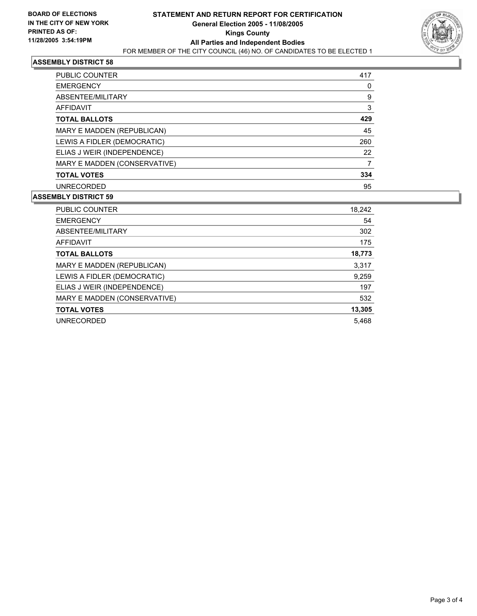

#### **ASSEMBLY DISTRICT 58**

| <b>PUBLIC COUNTER</b>        | 417 |
|------------------------------|-----|
| <b>EMERGENCY</b>             |     |
| ABSENTEE/MILITARY            | 9   |
| AFFIDAVIT                    | 3   |
| <b>TOTAL BALLOTS</b>         | 429 |
| MARY E MADDEN (REPUBLICAN)   | 45  |
| LEWIS A FIDLER (DEMOCRATIC)  | 260 |
| ELIAS J WEIR (INDEPENDENCE)  | 22  |
| MARY E MADDEN (CONSERVATIVE) |     |
| <b>TOTAL VOTES</b>           | 334 |
| <b>UNRECORDED</b>            | 95  |

#### **ASSEMBLY DISTRICT 59**

| <b>PUBLIC COUNTER</b>        | 18,242 |
|------------------------------|--------|
| <b>EMERGENCY</b>             | 54     |
| ABSENTEE/MILITARY            | 302    |
| <b>AFFIDAVIT</b>             | 175    |
| <b>TOTAL BALLOTS</b>         | 18,773 |
| MARY E MADDEN (REPUBLICAN)   | 3,317  |
| LEWIS A FIDLER (DEMOCRATIC)  | 9,259  |
| ELIAS J WEIR (INDEPENDENCE)  | 197    |
| MARY E MADDEN (CONSERVATIVE) | 532    |
| <b>TOTAL VOTES</b>           | 13,305 |
| <b>UNRECORDED</b>            | 5,468  |